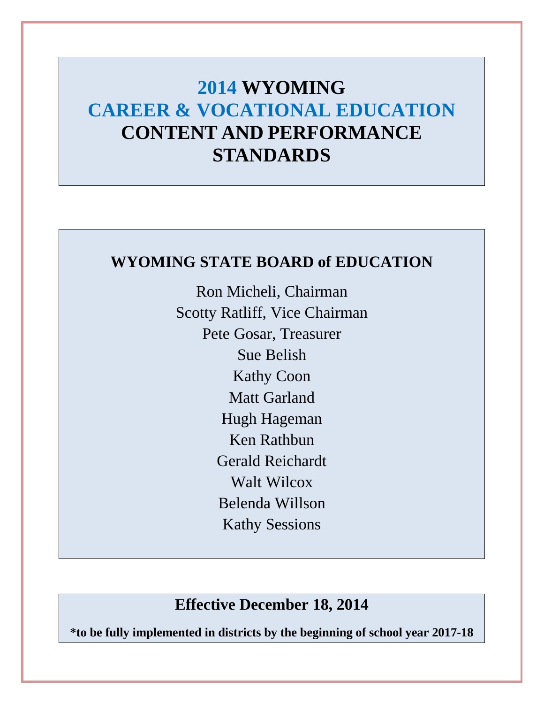# **CONTENT AND PERFORMANCE 2014 WYOMING CAREER & VOCATIONAL EDUCATION STANDARDS**

# **WYOMING STATE BOARD of EDUCATION**

Ron Micheli, Chairman Scotty Ratliff, Vice Chairman Pete Gosar, Treasurer Sue Belish Kathy Coon Matt Garland Hugh Hageman Ken Rathbun Gerald Reichardt Walt Wilcox Belenda Willson Kathy Sessions

# **Effective December 18, 2014**

 **\*to be fully implemented in districts by the beginning of school year 2017-18**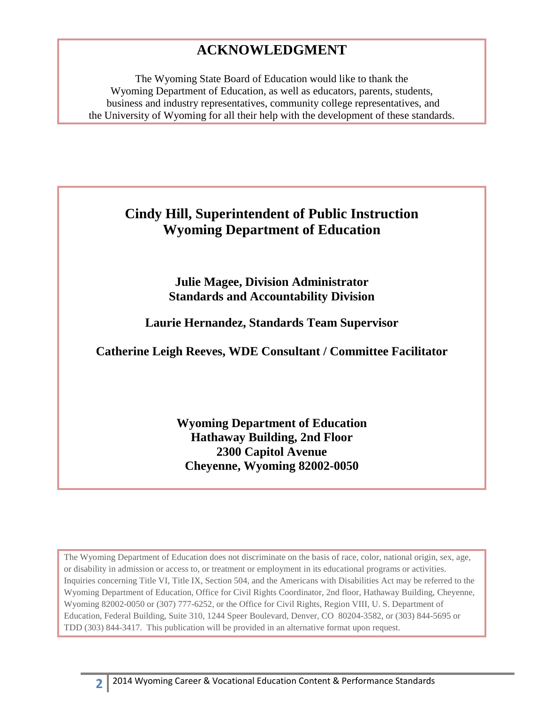# **ACKNOWLEDGMENT**

The Wyoming State Board of Education would like to thank the Wyoming Department of Education, as well as educators, parents, students, business and industry representatives, community college representatives, and the University of Wyoming for all their help with the development of these standards.

# **Cindy Hill, Superintendent of Public Instruction Wyoming Department of Education**

**Julie Magee, Division Administrator Standards and Accountability Division** 

**Laurie Hernandez, Standards Team Supervisor** 

**Catherine Leigh Reeves, WDE Consultant / Committee Facilitator** 

**Wyoming Department of Education Hathaway Building, 2nd Floor 2300 Capitol Avenue Cheyenne, Wyoming 82002-0050** 

 Wyoming Department of Education, Office for Civil Rights Coordinator, 2nd floor, Hathaway Building, Cheyenne, TDD (303) 844-3417. This publication will be provided in an alternative format upon request. The Wyoming Department of Education does not discriminate on the basis of race, color, national origin, sex, age, or disability in admission or access to, or treatment or employment in its educational programs or activities.<br>Inquiries concerning Title VI, Title IX, Section 504, and the Americans with Disabilities Act may be referred t Wyoming 82002-0050 or (307) 777-6252, or the Office for Civil Rights, Region VIII, U. S. Department of Education, Federal Building, Suite 310, 1244 Speer Boulevard, Denver, CO 80204-3582, or (303) 844-5695 or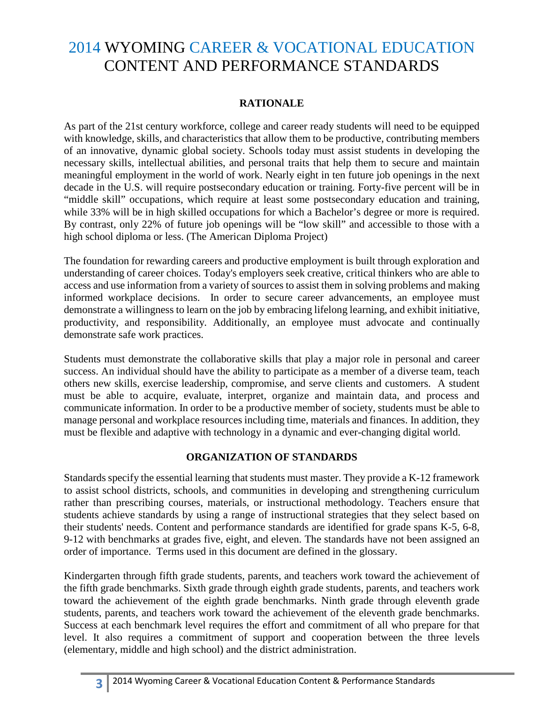# 2014 WYOMING CAREER & VOCATIONAL EDUCATION CONTENT AND PERFORMANCE STANDARDS

## **RATIONALE**

As part of the 21st century workforce, college and career ready students will need to be equipped with knowledge, skills, and characteristics that allow them to be productive, contributing members of an innovative, dynamic global society. Schools today must assist students in developing the necessary skills, intellectual abilities, and personal traits that help them to secure and maintain meaningful employment in the world of work. Nearly eight in ten future job openings in the next decade in the U.S. will require postsecondary education or training. Forty-five percent will be in "middle skill" occupations, which require at least some postsecondary education and training, while 33% will be in high skilled occupations for which a Bachelor's degree or more is required. By contrast, only 22% of future job openings will be "low skill" and accessible to those with a high school diploma or less. (The American Diploma Project)

The foundation for rewarding careers and productive employment is built through exploration and understanding of career choices. Today's employers seek creative, critical thinkers who are able to access and use information from a variety of sources to assist them in solving problems and making informed workplace decisions. In order to secure career advancements, an employee must demonstrate a willingness to learn on the job by embracing lifelong learning, and exhibit initiative, productivity, and responsibility. Additionally, an employee must advocate and continually demonstrate safe work practices.

Students must demonstrate the collaborative skills that play a major role in personal and career success. An individual should have the ability to participate as a member of a diverse team, teach others new skills, exercise leadership, compromise, and serve clients and customers. A student must be able to acquire, evaluate, interpret, organize and maintain data, and process and communicate information. In order to be a productive member of society, students must be able to manage personal and workplace resources including time, materials and finances. In addition, they must be flexible and adaptive with technology in a dynamic and ever-changing digital world.

## **ORGANIZATION OF STANDARDS**

 9-12 with benchmarks at grades five, eight, and eleven. The standards have not been assigned an Standards specify the essential learning that students must master. They provide a K-12 framework to assist school districts, schools, and communities in developing and strengthening curriculum rather than prescribing courses, materials, or instructional methodology. Teachers ensure that students achieve standards by using a range of instructional strategies that they select based on their students' needs. Content and performance standards are identified for grade spans K-5, 6-8, order of importance. Terms used in this document are defined in the glossary.

students, parents, and teachers work toward the achievement of the eleventh grade benchmarks. students, parents, and teachers work toward the achievement of the eleventh grade benchmarks. Success at each benchmark level requires the effort and commitment of all who prepare for that Kindergarten through fifth grade students, parents, and teachers work toward the achievement of the fifth grade benchmarks. Sixth grade through eighth grade students, parents, and teachers work toward the achievement of the eighth grade benchmarks. Ninth grade through eleventh grade level. It also requires a commitment of support and cooperation between the three levels (elementary, middle and high school) and the district administration.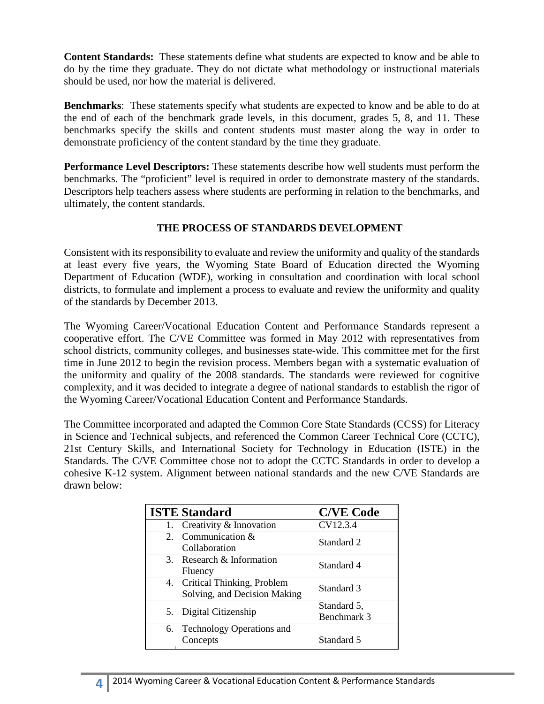**Content Standards:** These statements define what students are expected to know and be able to do by the time they graduate. They do not dictate what methodology or instructional materials should be used, nor how the material is delivered.

**Benchmarks**: These statements specify what students are expected to know and be able to do at the end of each of the benchmark grade levels, in this document, grades 5, 8, and 11. These benchmarks specify the skills and content students must master along the way in order to demonstrate proficiency of the content standard by the time they graduate.

 Descriptors help teachers assess where students are performing in relation to the benchmarks, and **Performance Level Descriptors:** These statements describe how well students must perform the benchmarks. The "proficient" level is required in order to demonstrate mastery of the standards. ultimately, the content standards.

## **THE PROCESS OF STANDARDS DEVELOPMENT**

Consistent with its responsibility to evaluate and review the uniformity and quality of the standards at least every five years, the Wyoming State Board of Education directed the Wyoming Department of Education (WDE), working in consultation and coordination with local school districts, to formulate and implement a process to evaluate and review the uniformity and quality of the standards by December 2013.

 the uniformity and quality of the 2008 standards. The standards were reviewed for cognitive The Wyoming Career/Vocational Education Content and Performance Standards represent a cooperative effort. The C/VE Committee was formed in May 2012 with representatives from school districts, community colleges, and businesses state-wide. This committee met for the first time in June 2012 to begin the revision process. Members began with a systematic evaluation of complexity, and it was decided to integrate a degree of national standards to establish the rigor of the Wyoming Career/Vocational Education Content and Performance Standards.

 drawn below: The Committee incorporated and adapted the Common Core State Standards (CCSS) for Literacy in Science and Technical subjects, and referenced the Common Career Technical Core (CCTC), 21st Century Skills, and International Society for Technology in Education (ISTE) in the Standards. The C/VE Committee chose not to adopt the CCTC Standards in order to develop a cohesive K-12 system. Alignment between national standards and the new C/VE Standards are

| <b>ISTE Standard</b>                                          | <b>C/VE Code</b>           |
|---------------------------------------------------------------|----------------------------|
| 1. Creativity & Innovation                                    | CV12.3.4                   |
| 2. Communication &<br>Collaboration                           | Standard 2                 |
| 3. Research & Information<br>Fluency                          | Standard 4                 |
| 4. Critical Thinking, Problem<br>Solving, and Decision Making | Standard 3                 |
| 5. Digital Citizenship                                        | Standard 5,<br>Benchmark 3 |
| 6. Technology Operations and<br>Concepts                      | Standard 5                 |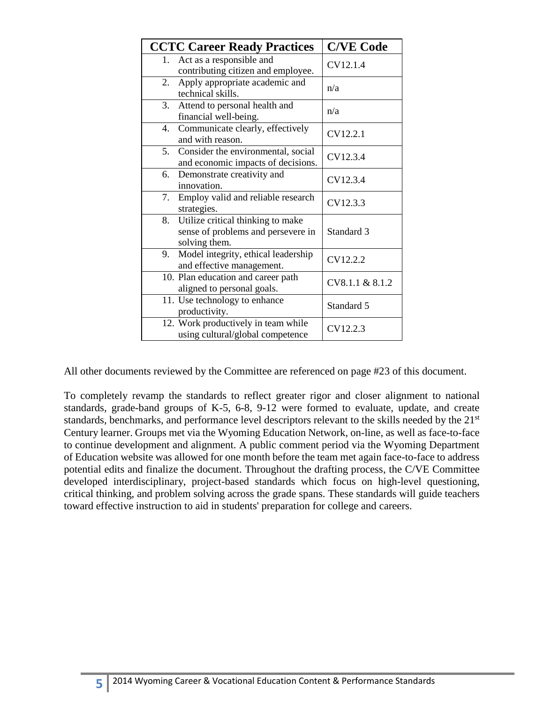| <b>CCTC Career Ready Practices</b>                                                             | <b>C/VE Code</b> |
|------------------------------------------------------------------------------------------------|------------------|
| Act as a responsible and<br>1.<br>contributing citizen and employee.                           | CV12.1.4         |
| Apply appropriate academic and<br>2.<br>technical skills.                                      | n/a              |
| Attend to personal health and<br>3.<br>financial well-being.                                   | n/a              |
| Communicate clearly, effectively<br>4.<br>and with reason.                                     | CV12.2.1         |
| Consider the environmental, social<br>5.<br>and economic impacts of decisions.                 | CV12.3.4         |
| Demonstrate creativity and<br>6.<br>innovation.                                                | CV12.3.4         |
| Employ valid and reliable research<br>7.<br>strategies.                                        | CV12.3.3         |
| Utilize critical thinking to make<br>8.<br>sense of problems and persevere in<br>solving them. | Standard 3       |
| Model integrity, ethical leadership<br>9.<br>and effective management.                         | CV12.2.2         |
| 10. Plan education and career path<br>aligned to personal goals.                               | CV8.1.1 & 8.1.2  |
| 11. Use technology to enhance<br>productivity.                                                 | Standard 5       |
| 12. Work productively in team while<br>using cultural/global competence                        | CV12.2.3         |

All other documents reviewed by the Committee are referenced on page #23 of this document.

To completely revamp the standards to reflect greater rigor and closer alignment to national standards, grade-band groups of K-5, 6-8, 9-12 were formed to evaluate, update, and create standards, benchmarks, and performance level descriptors relevant to the skills needed by the 21<sup>st</sup> Century learner. Groups met via the Wyoming Education Network, on-line, as well as face-to-face to continue development and alignment. A public comment period via the Wyoming Department of Education website was allowed for one month before the team met again face-to-face to address potential edits and finalize the document. Throughout the drafting process, the C/VE Committee developed interdisciplinary, project-based standards which focus on high-level questioning, critical thinking, and problem solving across the grade spans. These standards will guide teachers toward effective instruction to aid in students' preparation for college and careers.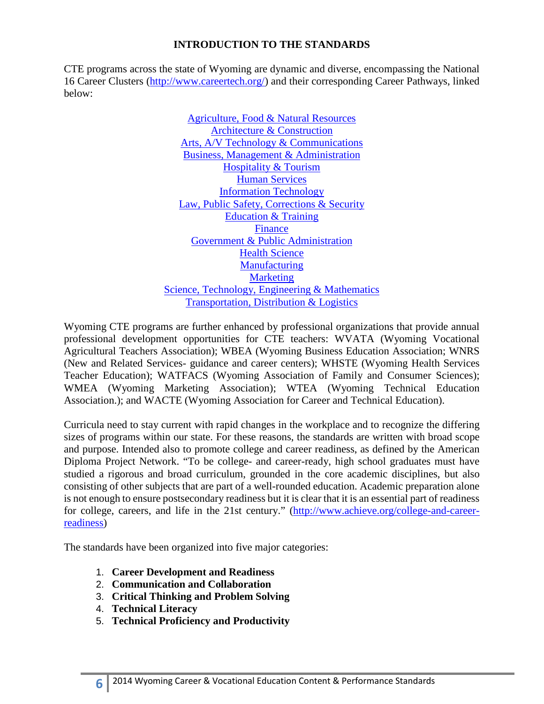## **INTRODUCTION TO THE STANDARDS**

below: CTE programs across the state of Wyoming are dynamic and diverse, encompassing the National 16 Career Clusters [\(http://www.careertech.org/\)](http://www.careertech.org/) and their corresponding Career Pathways, linked

> **Business, Management & Administration** Agriculture, Food & Natural Resources [Architecture & Construction](https://careertech.org/architecture-construction)  [Arts, A/V Technology & Communications](https://careertech.org/arts)  [Hospitality & Tourism](https://careertech.org/hospitality-tourism)  [Human Services](https://careertech.org/human-services)  [Information Technology](https://careertech.org/information-technology)  [Law, Public Safety, Corrections & Security](https://careertech.org/law)  [Education & Training](https://careertech.org/education-training)  [Finance](https://careertech.org/finance)  [Government & Public Administration](https://careertech.org/government)  [Health Science](https://careertech.org/health-science)  **Manufacturing Marketing** [Science, Technology, Engineering & Mathematics](https://careertech.org/STEM)  [Transportation, Distribution & Logistics](https://careertech.org/transportation)

Wyoming CTE programs are further enhanced by professional organizations that provide annual professional development opportunities for CTE teachers: WVATA (Wyoming Vocational Agricultural Teachers Association); WBEA (Wyoming Business Education Association; WNRS (New and Related Services- guidance and career centers); WHSTE (Wyoming Health Services Teacher Education); WATFACS (Wyoming Association of Family and Consumer Sciences); WMEA (Wyoming Marketing Association); WTEA (Wyoming Technical Education Association.); and WACTE (Wyoming Association for Career and Technical Education).

 is not enough to ensure postsecondary readiness but it is clear that it is an essential part of readiness Curricula need to stay current with rapid changes in the workplace and to recognize the differing sizes of programs within our state. For these reasons, the standards are written with broad scope and purpose. Intended also to promote college and career readiness, as defined by the American Diploma Project Network. "To be college- and career-ready, high school graduates must have studied a rigorous and broad curriculum, grounded in the core academic disciplines, but also consisting of other subjects that are part of a well-rounded education. Academic preparation alone for college, careers, and life in the 21st century." [\(http://www.achieve.org/college-and-career](http://www.achieve.org/college-and-career-readiness)[readiness\)](http://www.achieve.org/college-and-career-readiness)

The standards have been organized into five major categories:

- 1. **Career Development and Readiness**
- 2. **Communication and Collaboration**
- 3. **Critical Thinking and Problem Solving**
- 4. **Technical Literacy**
- 5. **Technical Proficiency and Productivity**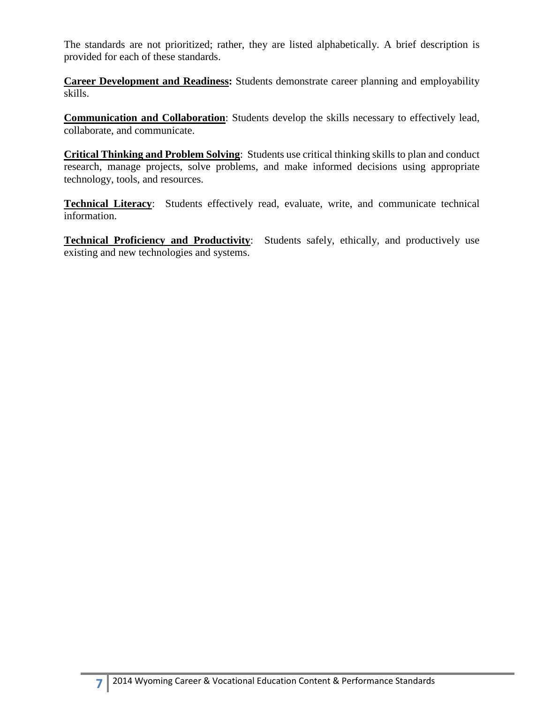The standards are not prioritized; rather, they are listed alphabetically. A brief description is provided for each of these standards.

**Career Development and Readiness:** Students demonstrate career planning and employability skills.

**Communication and Collaboration**: Students develop the skills necessary to effectively lead, collaborate, and communicate.

**Critical Thinking and Problem Solving**: Students use critical thinking skills to plan and conduct research, manage projects, solve problems, and make informed decisions using appropriate technology, tools, and resources.

**Technical Literacy**: Students effectively read, evaluate, write, and communicate technical information.

**Technical Proficiency and Productivity**: Students safely, ethically, and productively use existing and new technologies and systems.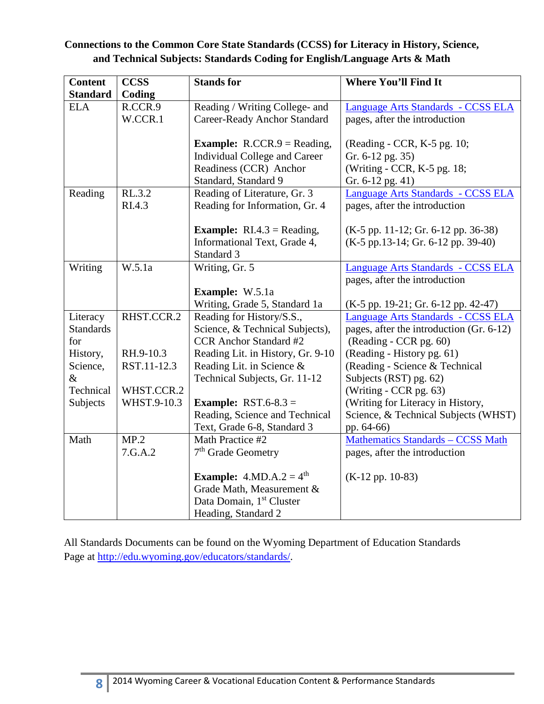# **Connections to the Common Core State Standards (CCSS) for Literacy in History, Science, and Technical Subjects: Standards Coding for English/Language Arts & Math**

| <b>Content</b>   | <b>CCSS</b> | <b>Stands for</b>                          | <b>Where You'll Find It</b>              |
|------------------|-------------|--------------------------------------------|------------------------------------------|
| <b>Standard</b>  | Coding      |                                            |                                          |
| <b>ELA</b>       | R.CCR.9     | Reading / Writing College- and             | Language Arts Standards - CCSS ELA       |
|                  | W.CCR.1     | <b>Career-Ready Anchor Standard</b>        | pages, after the introduction            |
|                  |             |                                            |                                          |
|                  |             | <b>Example:</b> $R.CCR.9 = Reading$ ,      | (Reading - CCR, K-5 pg. 10;              |
|                  |             | Individual College and Career              | Gr. 6-12 pg. 35)                         |
|                  |             | Readiness (CCR) Anchor                     | (Writing - CCR, K-5 pg. 18;              |
|                  |             | Standard, Standard 9                       | Gr. 6-12 pg. 41)                         |
| Reading          | RL.3.2      | Reading of Literature, Gr. 3               | Language Arts Standards - CCSS ELA       |
|                  | RI.4.3      | Reading for Information, Gr. 4             | pages, after the introduction            |
|                  |             | <b>Example:</b> $RI.4.3 = Reading$ ,       | (K-5 pp. 11-12; Gr. 6-12 pp. 36-38)      |
|                  |             | Informational Text, Grade 4,               | $(K-5 pp.13-14; Gr. 6-12 pp. 39-40)$     |
|                  |             | Standard 3                                 |                                          |
| Writing          | W.5.1a      | Writing, Gr. 5                             | Language Arts Standards - CCSS ELA       |
|                  |             |                                            | pages, after the introduction            |
|                  |             | Example: W.5.1a                            |                                          |
|                  |             | Writing, Grade 5, Standard 1a              | $(K-5 pp. 19-21; Gr. 6-12 pp. 42-47)$    |
| Literacy         | RHST.CCR.2  | Reading for History/S.S.,                  | Language Arts Standards - CCSS ELA       |
| <b>Standards</b> |             | Science, & Technical Subjects),            | pages, after the introduction (Gr. 6-12) |
| for              |             | <b>CCR</b> Anchor Standard #2              | (Reading - CCR pg. 60)                   |
| History,         | RH.9-10.3   | Reading Lit. in History, Gr. 9-10          | (Reading - History pg. 61)               |
| Science,         | RST.11-12.3 | Reading Lit. in Science &                  | (Reading - Science & Technical           |
| $\&$             |             | Technical Subjects, Gr. 11-12              | Subjects (RST) pg. 62)                   |
| Technical        | WHST.CCR.2  |                                            | (Writing - CCR pg. 63)                   |
| Subjects         | WHST.9-10.3 | <b>Example:</b> RST.6-8.3 =                | (Writing for Literacy in History,        |
|                  |             | Reading, Science and Technical             | Science, & Technical Subjects (WHST)     |
|                  |             | Text, Grade 6-8, Standard 3                | pp. 64-66)                               |
| Math             | MP.2        | Math Practice #2                           | <b>Mathematics Standards - CCSS Math</b> |
|                  | 7.G.A.2     | 7 <sup>th</sup> Grade Geometry             | pages, after the introduction            |
|                  |             | <b>Example:</b> 4.MD.A.2 = $4^{\text{th}}$ | $(K-12 pp. 10-83)$                       |
|                  |             | Grade Math, Measurement &                  |                                          |
|                  |             | Data Domain, 1 <sup>st</sup> Cluster       |                                          |
|                  |             | Heading, Standard 2                        |                                          |

All Standards Documents can be found on the Wyoming Department of Education Standards Page at [http://edu.wyoming.gov/educators/standards/.](http://edu.wyoming.gov/educators/standards/)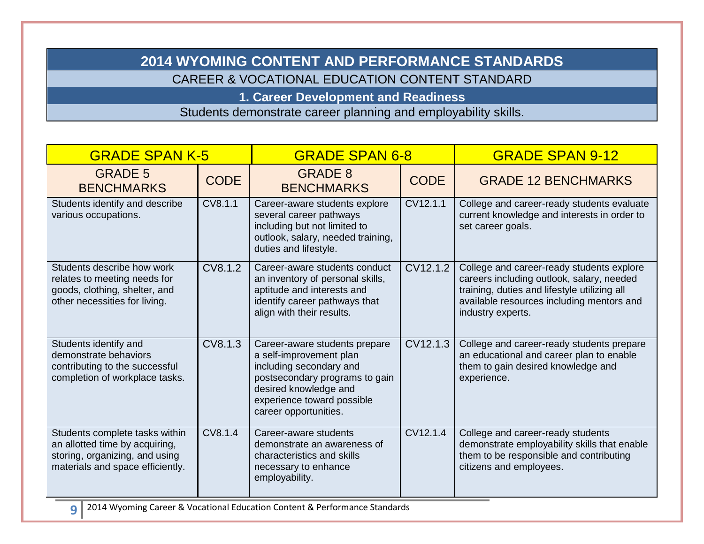# **2014 WYOMING CONTENT AND PERFORMANCE STANDARDS**

CAREER & VOCATIONAL EDUCATION CONTENT STANDARD

**1. Career Development and Readiness** 

Students demonstrate career planning and employability skills.

| <b>GRADE SPAN K-5</b>                                                                                                                  |             | <b>GRADE SPAN 6-8</b>                                                                                                                                                                                 |             | <b>GRADE SPAN 9-12</b>                                                                                                                                                                                   |
|----------------------------------------------------------------------------------------------------------------------------------------|-------------|-------------------------------------------------------------------------------------------------------------------------------------------------------------------------------------------------------|-------------|----------------------------------------------------------------------------------------------------------------------------------------------------------------------------------------------------------|
| <b>GRADE 5</b><br><b>BENCHMARKS</b>                                                                                                    | <b>CODE</b> | <b>GRADE 8</b><br><b>BENCHMARKS</b>                                                                                                                                                                   | <b>CODE</b> | <b>GRADE 12 BENCHMARKS</b>                                                                                                                                                                               |
| Students identify and describe<br>various occupations.                                                                                 | CV8.1.1     | Career-aware students explore<br>several career pathways<br>including but not limited to<br>outlook, salary, needed training,<br>duties and lifestyle.                                                | CV12.1.1    | College and career-ready students evaluate<br>current knowledge and interests in order to<br>set career goals.                                                                                           |
| Students describe how work<br>relates to meeting needs for<br>goods, clothing, shelter, and<br>other necessities for living.           | CV8.1.2     | Career-aware students conduct<br>an inventory of personal skills,<br>aptitude and interests and<br>identify career pathways that<br>align with their results.                                         | CV12.1.2    | College and career-ready students explore<br>careers including outlook, salary, needed<br>training, duties and lifestyle utilizing all<br>available resources including mentors and<br>industry experts. |
| Students identify and<br>demonstrate behaviors<br>contributing to the successful<br>completion of workplace tasks.                     | CV8.1.3     | Career-aware students prepare<br>a self-improvement plan<br>including secondary and<br>postsecondary programs to gain<br>desired knowledge and<br>experience toward possible<br>career opportunities. | CV12.1.3    | College and career-ready students prepare<br>an educational and career plan to enable<br>them to gain desired knowledge and<br>experience.                                                               |
| Students complete tasks within<br>an allotted time by acquiring,<br>storing, organizing, and using<br>materials and space efficiently. | CV8.1.4     | Career-aware students<br>demonstrate an awareness of<br>characteristics and skills<br>necessary to enhance<br>employability.                                                                          | CV12.1.4    | College and career-ready students<br>demonstrate employability skills that enable<br>them to be responsible and contributing<br>citizens and employees.                                                  |
| 9                                                                                                                                      |             | 2014 Wyoming Career & Vocational Education Content & Performance Standards                                                                                                                            |             |                                                                                                                                                                                                          |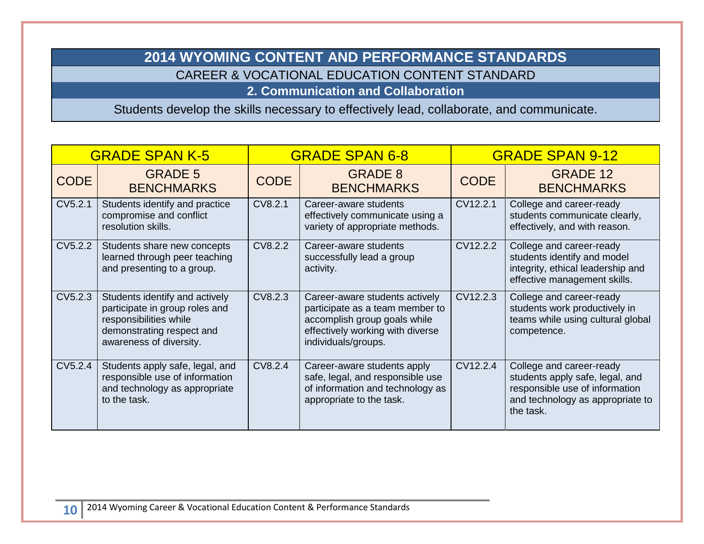# **2014 WYOMING CONTENT AND PERFORMANCE STANDARDS**  CAREER & VOCATIONAL EDUCATION CONTENT STANDARD

## **2. Communication and Collaboration**

Students develop the skills necessary to effectively lead, collaborate, and communicate.

| <b>GRADE SPAN K-5</b> |                                                                                                                                                    | <b>GRADE SPAN 6-8</b> |                                                                                                                                                              | <b>GRADE SPAN 9-12</b> |                                                                                                                                                |
|-----------------------|----------------------------------------------------------------------------------------------------------------------------------------------------|-----------------------|--------------------------------------------------------------------------------------------------------------------------------------------------------------|------------------------|------------------------------------------------------------------------------------------------------------------------------------------------|
| <b>CODE</b>           | <b>GRADE 5</b><br><b>BENCHMARKS</b>                                                                                                                | <b>CODE</b>           | <b>GRADE 8</b><br><b>BENCHMARKS</b>                                                                                                                          | <b>CODE</b>            | <b>GRADE 12</b><br><b>BENCHMARKS</b>                                                                                                           |
| CV5.2.1               | Students identify and practice<br>compromise and conflict<br>resolution skills.                                                                    | CV8.2.1               | Career-aware students<br>effectively communicate using a<br>variety of appropriate methods.                                                                  | CV12.2.1               | College and career-ready<br>students communicate clearly,<br>effectively, and with reason.                                                     |
| CV5.2.2               | Students share new concepts<br>learned through peer teaching<br>and presenting to a group.                                                         | CV8.2.2               | Career-aware students<br>successfully lead a group<br>activity.                                                                                              | CV12.2.2               | College and career-ready<br>students identify and model<br>integrity, ethical leadership and<br>effective management skills.                   |
| CV5.2.3               | Students identify and actively<br>participate in group roles and<br>responsibilities while<br>demonstrating respect and<br>awareness of diversity. | CV8.2.3               | Career-aware students actively<br>participate as a team member to<br>accomplish group goals while<br>effectively working with diverse<br>individuals/groups. | CV12.2.3               | College and career-ready<br>students work productively in<br>teams while using cultural global<br>competence.                                  |
| CV5.2.4               | Students apply safe, legal, and<br>responsible use of information<br>and technology as appropriate<br>to the task.                                 | CV8.2.4               | Career-aware students apply<br>safe, legal, and responsible use<br>of information and technology as<br>appropriate to the task.                              | CV12.2.4               | College and career-ready<br>students apply safe, legal, and<br>responsible use of information<br>and technology as appropriate to<br>the task. |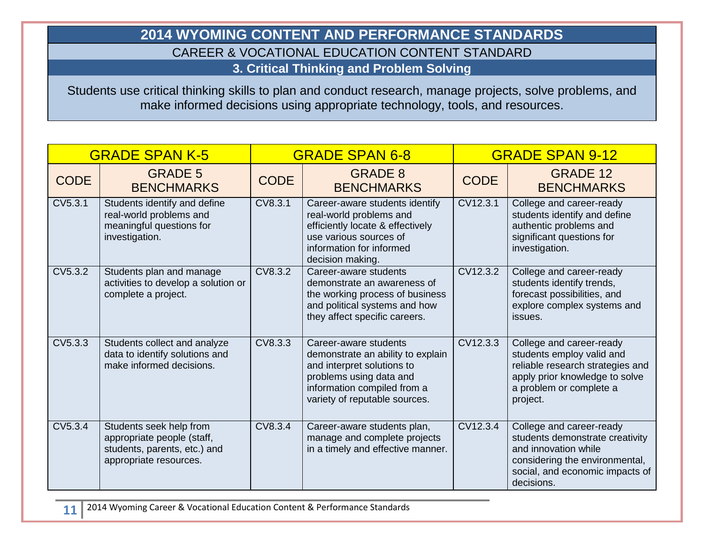# **2014 WYOMING CONTENT AND PERFORMANCE STANDARDS**  CAREER & VOCATIONAL EDUCATION CONTENT STANDARD **3. Critical Thinking and Problem Solving**

Students use critical thinking skills to plan and conduct research, manage projects, solve problems, and make informed decisions using appropriate technology, tools, and resources.

| <b>GRADE SPAN K-5</b> |                                                                                                                 | <b>GRADE SPAN 6-8</b> |                                                                                                                                                                                     | <b>GRADE SPAN 9-12</b> |                                                                                                                                                                        |
|-----------------------|-----------------------------------------------------------------------------------------------------------------|-----------------------|-------------------------------------------------------------------------------------------------------------------------------------------------------------------------------------|------------------------|------------------------------------------------------------------------------------------------------------------------------------------------------------------------|
| <b>CODE</b>           | <b>GRADE 5</b><br><b>BENCHMARKS</b>                                                                             | <b>CODE</b>           | <b>GRADE 8</b><br><b>BENCHMARKS</b>                                                                                                                                                 | <b>CODE</b>            | <b>GRADE 12</b><br><b>BENCHMARKS</b>                                                                                                                                   |
| CV5.3.1               | Students identify and define<br>real-world problems and<br>meaningful questions for<br>investigation.           | CV8.3.1               | Career-aware students identify<br>real-world problems and<br>efficiently locate & effectively<br>use various sources of<br>information for informed<br>decision making.             | CV12.3.1               | College and career-ready<br>students identify and define<br>authentic problems and<br>significant questions for<br>investigation.                                      |
| CV5.3.2               | Students plan and manage<br>activities to develop a solution or<br>complete a project.                          | CV8.3.2               | Career-aware students<br>demonstrate an awareness of<br>the working process of business<br>and political systems and how<br>they affect specific careers.                           | CV12.3.2               | College and career-ready<br>students identify trends,<br>forecast possibilities, and<br>explore complex systems and<br>issues.                                         |
| CV5.3.3               | Students collect and analyze<br>data to identify solutions and<br>make informed decisions.                      | CV8.3.3               | Career-aware students<br>demonstrate an ability to explain<br>and interpret solutions to<br>problems using data and<br>information compiled from a<br>variety of reputable sources. | CV12.3.3               | College and career-ready<br>students employ valid and<br>reliable research strategies and<br>apply prior knowledge to solve<br>a problem or complete a<br>project.     |
| CV5.3.4               | Students seek help from<br>appropriate people (staff,<br>students, parents, etc.) and<br>appropriate resources. | CV8.3.4               | Career-aware students plan,<br>manage and complete projects<br>in a timely and effective manner.                                                                                    | CV12.3.4               | College and career-ready<br>students demonstrate creativity<br>and innovation while<br>considering the environmental,<br>social, and economic impacts of<br>decisions. |

**11** 2014 Wyoming Career & Vocational Education Content & Performance Standards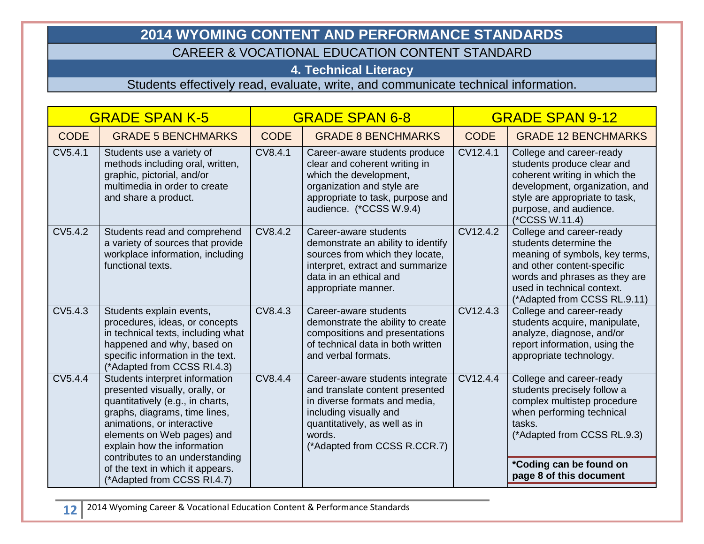# **2014 WYOMING CONTENT AND PERFORMANCE STANDARDS**

# CAREER & VOCATIONAL EDUCATION CONTENT STANDARD

# **4. Technical Literacy**

Students effectively read, evaluate, write, and communicate technical information.

| <b>GRADE SPAN K-5</b> |                                                                                                                                                                                                                                  | <b>GRADE SPAN 6-8</b> |                                                                                                                                                                                                          | <b>GRADE SPAN 9-12</b> |                                                                                                                                                                                                                   |
|-----------------------|----------------------------------------------------------------------------------------------------------------------------------------------------------------------------------------------------------------------------------|-----------------------|----------------------------------------------------------------------------------------------------------------------------------------------------------------------------------------------------------|------------------------|-------------------------------------------------------------------------------------------------------------------------------------------------------------------------------------------------------------------|
| <b>CODE</b>           | <b>GRADE 5 BENCHMARKS</b>                                                                                                                                                                                                        | <b>CODE</b>           | <b>GRADE 8 BENCHMARKS</b>                                                                                                                                                                                | <b>CODE</b>            | <b>GRADE 12 BENCHMARKS</b>                                                                                                                                                                                        |
| CV5.4.1               | Students use a variety of<br>methods including oral, written,<br>graphic, pictorial, and/or<br>multimedia in order to create<br>and share a product.                                                                             | CV8.4.1               | Career-aware students produce<br>clear and coherent writing in<br>which the development,<br>organization and style are<br>appropriate to task, purpose and<br>audience. (*CCSS W.9.4)                    | CV12.4.1               | College and career-ready<br>students produce clear and<br>coherent writing in which the<br>development, organization, and<br>style are appropriate to task,<br>purpose, and audience.<br>(*CCSS W.11.4)           |
| CV5.4.2               | Students read and comprehend<br>a variety of sources that provide<br>workplace information, including<br>functional texts.                                                                                                       | CV8.4.2               | Career-aware students<br>demonstrate an ability to identify<br>sources from which they locate,<br>interpret, extract and summarize<br>data in an ethical and<br>appropriate manner.                      | CV12.4.2               | College and career-ready<br>students determine the<br>meaning of symbols, key terms,<br>and other content-specific<br>words and phrases as they are<br>used in technical context.<br>(*Adapted from CCSS RL.9.11) |
| CV5.4.3               | Students explain events,<br>procedures, ideas, or concepts<br>in technical texts, including what<br>happened and why, based on<br>specific information in the text.<br>(*Adapted from CCSS RI.4.3)                               | CV8.4.3               | Career-aware students<br>demonstrate the ability to create<br>compositions and presentations<br>of technical data in both written<br>and verbal formats.                                                 | CV12.4.3               | College and career-ready<br>students acquire, manipulate,<br>analyze, diagnose, and/or<br>report information, using the<br>appropriate technology.                                                                |
| CV5.4.4               | Students interpret information<br>presented visually, orally, or<br>quantitatively (e.g., in charts,<br>graphs, diagrams, time lines,<br>animations, or interactive<br>elements on Web pages) and<br>explain how the information | CV8.4.4               | Career-aware students integrate<br>and translate content presented<br>in diverse formats and media,<br>including visually and<br>quantitatively, as well as in<br>words.<br>(*Adapted from CCSS R.CCR.7) | CV12.4.4               | College and career-ready<br>students precisely follow a<br>complex multistep procedure<br>when performing technical<br>tasks.<br>(*Adapted from CCSS RL.9.3)                                                      |
|                       | contributes to an understanding<br>of the text in which it appears.<br>(*Adapted from CCSS RI.4.7)                                                                                                                               |                       |                                                                                                                                                                                                          |                        | *Coding can be found on<br>page 8 of this document                                                                                                                                                                |

**12** 2014 Wyoming Career & Vocational Education Content & Performance Standards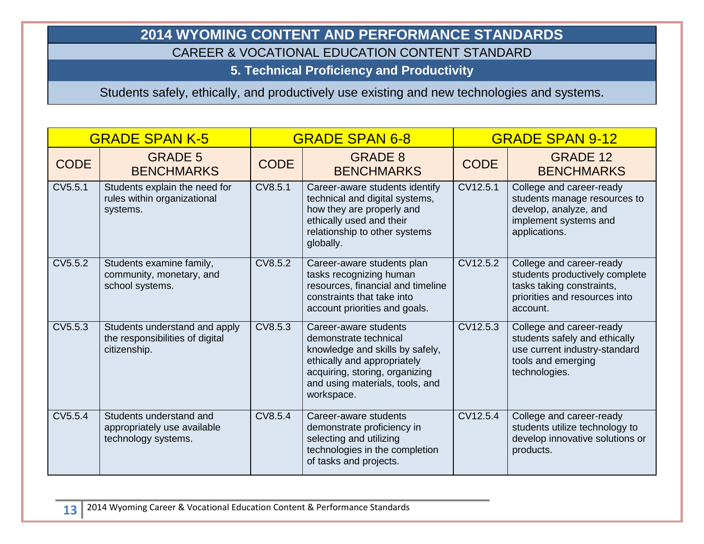# **2014 WYOMING CONTENT AND PERFORMANCE STANDARDS**

CAREER & VOCATIONAL EDUCATION CONTENT STANDARD

**5. Technical Proficiency and Productivity** 

Students safely, ethically, and productively use existing and new technologies and systems.

| <b>GRADE SPAN K-5</b> |                                                                                  | <b>GRADE SPAN 6-8</b> |                                                                                                                                                                                                     | <b>GRADE SPAN 9-12</b> |                                                                                                                                      |
|-----------------------|----------------------------------------------------------------------------------|-----------------------|-----------------------------------------------------------------------------------------------------------------------------------------------------------------------------------------------------|------------------------|--------------------------------------------------------------------------------------------------------------------------------------|
| <b>CODE</b>           | <b>GRADE 5</b><br><b>BENCHMARKS</b>                                              | <b>CODE</b>           | <b>GRADE 8</b><br><b>BENCHMARKS</b>                                                                                                                                                                 | <b>CODE</b>            | <b>GRADE 12</b><br><b>BENCHMARKS</b>                                                                                                 |
| CV5.5.1               | Students explain the need for<br>rules within organizational<br>systems.         | CV8.5.1               | Career-aware students identify<br>technical and digital systems,<br>how they are properly and<br>ethically used and their<br>relationship to other systems<br>globally.                             | CV12.5.1               | College and career-ready<br>students manage resources to<br>develop, analyze, and<br>implement systems and<br>applications.          |
| CV5.5.2               | Students examine family,<br>community, monetary, and<br>school systems.          | CV8.5.2               | Career-aware students plan<br>tasks recognizing human<br>resources, financial and timeline<br>constraints that take into<br>account priorities and goals.                                           | CV12.5.2               | College and career-ready<br>students productively complete<br>tasks taking constraints,<br>priorities and resources into<br>account. |
| CV5.5.3               | Students understand and apply<br>the responsibilities of digital<br>citizenship. | CV8.5.3               | Career-aware students<br>demonstrate technical<br>knowledge and skills by safely,<br>ethically and appropriately<br>acquiring, storing, organizing<br>and using materials, tools, and<br>workspace. | CV12.5.3               | College and career-ready<br>students safely and ethically<br>use current industry-standard<br>tools and emerging<br>technologies.    |
| CV5.5.4               | Students understand and<br>appropriately use available<br>technology systems.    | CV8.5.4               | Career-aware students<br>demonstrate proficiency in<br>selecting and utilizing<br>technologies in the completion<br>of tasks and projects.                                                          | CV12.5.4               | College and career-ready<br>students utilize technology to<br>develop innovative solutions or<br>products.                           |

**13** <sup>2014</sup> Wyoming Career & Vocational Education Content & Performance Standards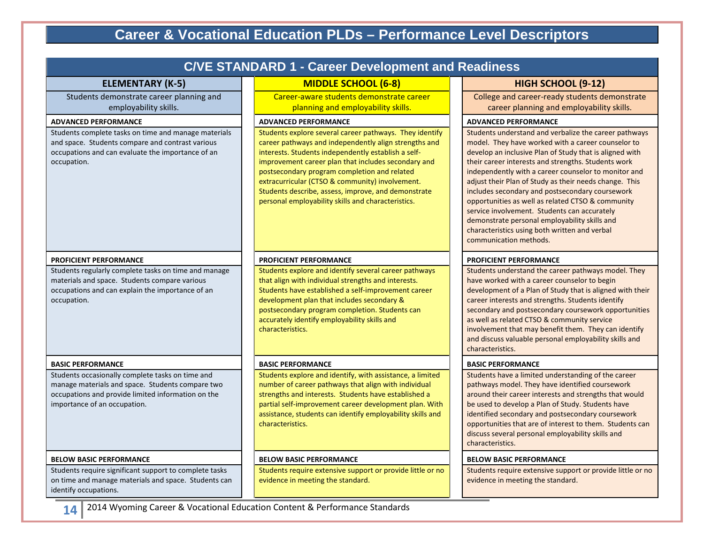# **Career & Vocational Education PLDs – Performance Level Descriptors**

| <b>C/VE STANDARD 1 - Career Development and Readiness</b>                                                                                                                                  |                                                                                                                                                                                                                                                                                                                                                                                                                                                |                                                                                                                                                                                                                                                                                                                                                                                                                                                                                                                                                                                                                                     |  |  |  |  |
|--------------------------------------------------------------------------------------------------------------------------------------------------------------------------------------------|------------------------------------------------------------------------------------------------------------------------------------------------------------------------------------------------------------------------------------------------------------------------------------------------------------------------------------------------------------------------------------------------------------------------------------------------|-------------------------------------------------------------------------------------------------------------------------------------------------------------------------------------------------------------------------------------------------------------------------------------------------------------------------------------------------------------------------------------------------------------------------------------------------------------------------------------------------------------------------------------------------------------------------------------------------------------------------------------|--|--|--|--|
| <b>ELEMENTARY (K-5)</b>                                                                                                                                                                    | <b>MIDDLE SCHOOL (6-8)</b>                                                                                                                                                                                                                                                                                                                                                                                                                     | HIGH SCHOOL (9-12)                                                                                                                                                                                                                                                                                                                                                                                                                                                                                                                                                                                                                  |  |  |  |  |
| Students demonstrate career planning and<br>employability skills.                                                                                                                          | Career-aware students demonstrate career<br>planning and employability skills.                                                                                                                                                                                                                                                                                                                                                                 | College and career-ready students demonstrate<br>career planning and employability skills.                                                                                                                                                                                                                                                                                                                                                                                                                                                                                                                                          |  |  |  |  |
| <b>ADVANCED PERFORMANCE</b>                                                                                                                                                                | <b>ADVANCED PERFORMANCE</b>                                                                                                                                                                                                                                                                                                                                                                                                                    | <b>ADVANCED PERFORMANCE</b>                                                                                                                                                                                                                                                                                                                                                                                                                                                                                                                                                                                                         |  |  |  |  |
| Students complete tasks on time and manage materials<br>and space. Students compare and contrast various<br>occupations and can evaluate the importance of an<br>occupation.               | Students explore several career pathways. They identify<br>career pathways and independently align strengths and<br>interests. Students independently establish a self-<br>improvement career plan that includes secondary and<br>postsecondary program completion and related<br>extracurricular (CTSO & community) involvement.<br>Students describe, assess, improve, and demonstrate<br>personal employability skills and characteristics. | Students understand and verbalize the career pathways<br>model. They have worked with a career counselor to<br>develop an inclusive Plan of Study that is aligned with<br>their career interests and strengths. Students work<br>independently with a career counselor to monitor and<br>adjust their Plan of Study as their needs change. This<br>includes secondary and postsecondary coursework<br>opportunities as well as related CTSO & community<br>service involvement. Students can accurately<br>demonstrate personal employability skills and<br>characteristics using both written and verbal<br>communication methods. |  |  |  |  |
| <b>PROFICIENT PERFORMANCE</b>                                                                                                                                                              | <b>PROFICIENT PERFORMANCE</b>                                                                                                                                                                                                                                                                                                                                                                                                                  | <b>PROFICIENT PERFORMANCE</b>                                                                                                                                                                                                                                                                                                                                                                                                                                                                                                                                                                                                       |  |  |  |  |
| Students regularly complete tasks on time and manage<br>materials and space. Students compare various<br>occupations and can explain the importance of an<br>occupation.                   | Students explore and identify several career pathways<br>that align with individual strengths and interests.<br>Students have established a self-improvement career<br>development plan that includes secondary &<br>postsecondary program completion. Students can<br>accurately identify employability skills and<br>characteristics.                                                                                                        | Students understand the career pathways model. They<br>have worked with a career counselor to begin<br>development of a Plan of Study that is aligned with their<br>career interests and strengths. Students identify<br>secondary and postsecondary coursework opportunities<br>as well as related CTSO & community service<br>involvement that may benefit them. They can identify<br>and discuss valuable personal employability skills and<br>characteristics.                                                                                                                                                                  |  |  |  |  |
| <b>BASIC PERFORMANCE</b>                                                                                                                                                                   | <b>BASIC PERFORMANCE</b>                                                                                                                                                                                                                                                                                                                                                                                                                       | <b>BASIC PERFORMANCE</b>                                                                                                                                                                                                                                                                                                                                                                                                                                                                                                                                                                                                            |  |  |  |  |
| Students occasionally complete tasks on time and<br>manage materials and space. Students compare two<br>occupations and provide limited information on the<br>importance of an occupation. | Students explore and identify, with assistance, a limited<br>number of career pathways that align with individual<br>strengths and interests. Students have established a<br>partial self-improvement career development plan. With<br>assistance, students can identify employability skills and<br>characteristics.                                                                                                                          | Students have a limited understanding of the career<br>pathways model. They have identified coursework<br>around their career interests and strengths that would<br>be used to develop a Plan of Study. Students have<br>identified secondary and postsecondary coursework<br>opportunities that are of interest to them. Students can<br>discuss several personal employability skills and<br>characteristics.                                                                                                                                                                                                                     |  |  |  |  |
| <b>BELOW BASIC PERFORMANCE</b>                                                                                                                                                             | <b>BELOW BASIC PERFORMANCE</b>                                                                                                                                                                                                                                                                                                                                                                                                                 | <b>BELOW BASIC PERFORMANCE</b>                                                                                                                                                                                                                                                                                                                                                                                                                                                                                                                                                                                                      |  |  |  |  |
| Students require significant support to complete tasks<br>on time and manage materials and space. Students can<br>identify occupations.                                                    | Students require extensive support or provide little or no<br>evidence in meeting the standard.                                                                                                                                                                                                                                                                                                                                                | Students require extensive support or provide little or no<br>evidence in meeting the standard.                                                                                                                                                                                                                                                                                                                                                                                                                                                                                                                                     |  |  |  |  |

14 | 2014 Wyoming Career & Vocational Education Content & Performance Standards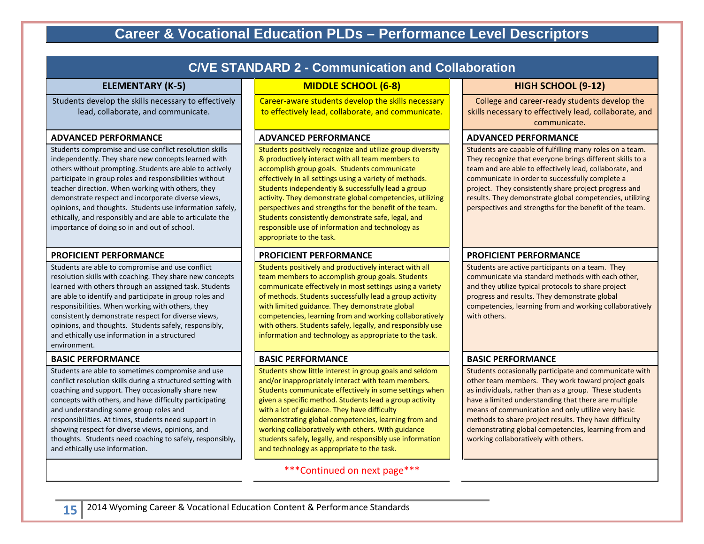# **Career & Vocational Education PLDs – Performance Level Descriptors**

| <b>C/VE STANDARD 2 - Communication and Collaboration</b>                                                                                                                                                                                                                                                                                                                                                                                                                                                                |                                                                                                                                                                                                                                                                                                                                                                                                                                                                                                                                              |                                                                                                                                                                                                                                                                                                                                                                                                                                                |  |  |  |  |  |
|-------------------------------------------------------------------------------------------------------------------------------------------------------------------------------------------------------------------------------------------------------------------------------------------------------------------------------------------------------------------------------------------------------------------------------------------------------------------------------------------------------------------------|----------------------------------------------------------------------------------------------------------------------------------------------------------------------------------------------------------------------------------------------------------------------------------------------------------------------------------------------------------------------------------------------------------------------------------------------------------------------------------------------------------------------------------------------|------------------------------------------------------------------------------------------------------------------------------------------------------------------------------------------------------------------------------------------------------------------------------------------------------------------------------------------------------------------------------------------------------------------------------------------------|--|--|--|--|--|
| <b>ELEMENTARY (K-5)</b>                                                                                                                                                                                                                                                                                                                                                                                                                                                                                                 | <b>MIDDLE SCHOOL (6-8)</b>                                                                                                                                                                                                                                                                                                                                                                                                                                                                                                                   | HIGH SCHOOL (9-12)                                                                                                                                                                                                                                                                                                                                                                                                                             |  |  |  |  |  |
| Students develop the skills necessary to effectively<br>lead, collaborate, and communicate.                                                                                                                                                                                                                                                                                                                                                                                                                             | Career-aware students develop the skills necessary<br>to effectively lead, collaborate, and communicate.                                                                                                                                                                                                                                                                                                                                                                                                                                     | College and career-ready students develop the<br>skills necessary to effectively lead, collaborate, and<br>communicate.                                                                                                                                                                                                                                                                                                                        |  |  |  |  |  |
| <b>ADVANCED PERFORMANCE</b>                                                                                                                                                                                                                                                                                                                                                                                                                                                                                             | <b>ADVANCED PERFORMANCE</b>                                                                                                                                                                                                                                                                                                                                                                                                                                                                                                                  | <b>ADVANCED PERFORMANCE</b>                                                                                                                                                                                                                                                                                                                                                                                                                    |  |  |  |  |  |
| Students compromise and use conflict resolution skills<br>independently. They share new concepts learned with<br>others without prompting. Students are able to actively<br>participate in group roles and responsibilities without<br>teacher direction. When working with others, they<br>demonstrate respect and incorporate diverse views,<br>opinions, and thoughts. Students use information safely,<br>ethically, and responsibly and are able to articulate the<br>importance of doing so in and out of school. | Students positively recognize and utilize group diversity<br>& productively interact with all team members to<br>accomplish group goals. Students communicate<br>effectively in all settings using a variety of methods.<br>Students independently & successfully lead a group<br>activity. They demonstrate global competencies, utilizing<br>perspectives and strengths for the benefit of the team.<br>Students consistently demonstrate safe, legal, and<br>responsible use of information and technology as<br>appropriate to the task. | Students are capable of fulfilling many roles on a team.<br>They recognize that everyone brings different skills to a<br>team and are able to effectively lead, collaborate, and<br>communicate in order to successfully complete a<br>project. They consistently share project progress and<br>results. They demonstrate global competencies, utilizing<br>perspectives and strengths for the benefit of the team.                            |  |  |  |  |  |
| <b>PROFICIENT PERFORMANCE</b>                                                                                                                                                                                                                                                                                                                                                                                                                                                                                           | <b>PROFICIENT PERFORMANCE</b>                                                                                                                                                                                                                                                                                                                                                                                                                                                                                                                | <b>PROFICIENT PERFORMANCE</b>                                                                                                                                                                                                                                                                                                                                                                                                                  |  |  |  |  |  |
| Students are able to compromise and use conflict<br>resolution skills with coaching. They share new concepts<br>learned with others through an assigned task. Students<br>are able to identify and participate in group roles and<br>responsibilities. When working with others, they<br>consistently demonstrate respect for diverse views,<br>opinions, and thoughts. Students safely, responsibly,<br>and ethically use information in a structured<br>environment.                                                  | Students positively and productively interact with all<br>team members to accomplish group goals. Students<br>communicate effectively in most settings using a variety<br>of methods. Students successfully lead a group activity<br>with limited guidance. They demonstrate global<br>competencies, learning from and working collaboratively<br>with others. Students safely, legally, and responsibly use<br>information and technology as appropriate to the task.                                                                       | Students are active participants on a team. They<br>communicate via standard methods with each other,<br>and they utilize typical protocols to share project<br>progress and results. They demonstrate global<br>competencies, learning from and working collaboratively<br>with others.                                                                                                                                                       |  |  |  |  |  |
| <b>BASIC PERFORMANCE</b>                                                                                                                                                                                                                                                                                                                                                                                                                                                                                                | <b>BASIC PERFORMANCE</b>                                                                                                                                                                                                                                                                                                                                                                                                                                                                                                                     | <b>BASIC PERFORMANCE</b>                                                                                                                                                                                                                                                                                                                                                                                                                       |  |  |  |  |  |
| Students are able to sometimes compromise and use<br>conflict resolution skills during a structured setting with<br>coaching and support. They occasionally share new<br>concepts with others, and have difficulty participating<br>and understanding some group roles and<br>responsibilities. At times, students need support in<br>showing respect for diverse views, opinions, and<br>thoughts. Students need coaching to safely, responsibly,<br>and ethically use information.                                    | Students show little interest in group goals and seldom<br>and/or inappropriately interact with team members.<br>Students communicate effectively in some settings when<br>given a specific method. Students lead a group activity<br>with a lot of guidance. They have difficulty<br>demonstrating global competencies, learning from and<br>working collaboratively with others. With guidance<br>students safely, legally, and responsibly use information<br>and technology as appropriate to the task.                                  | Students occasionally participate and communicate with<br>other team members. They work toward project goals<br>as individuals, rather than as a group. These students<br>have a limited understanding that there are multiple<br>means of communication and only utilize very basic<br>methods to share project results. They have difficulty<br>demonstrating global competencies, learning from and<br>working collaboratively with others. |  |  |  |  |  |

\*\*\*Continued on next page\*\*\*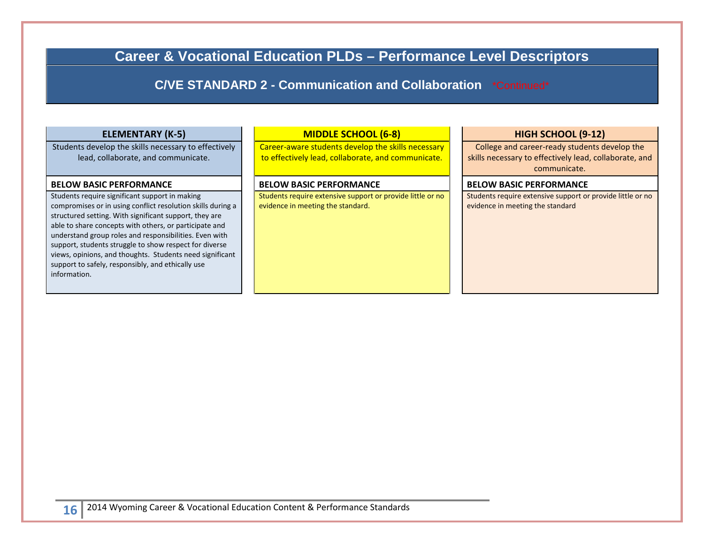**Career & Vocational Education PLDs – Performance Level Descriptors** 

**C/VE STANDARD 2 - Communication and Collaboration** \*Continued\*

#### **ELEMENTARY (K-5)**

Students develop the skills necessary to effectively lead, collaborate, and communicate.

#### **BELOW BASIC PERFORMANCE**

 compromises or in using conflict resolution skills during a support to safely, responsibly, and ethically use Students require significant support in making structured setting. With significant support, they are able to share concepts with others, or participate and understand group roles and responsibilities. Even with support, students struggle to show respect for diverse views, opinions, and thoughts. Students need significant information.

#### **MIDDLE SCHOOL (6-8)**

Career-aware students develop the skills necessary to effectively lead, collaborate, and communicate.

#### **BELOW BASIC PERFORMANCE**

Students require extensive support or provide little or no evidence in meeting the standard.

#### **HIGH SCHOOL (9-12)**

College and career-ready students develop the skills necessary to effectively lead, collaborate, and communicate.

#### **BELOW BASIC PERFORMANCE**

Students require extensive support or provide little or no evidence in meeting the standard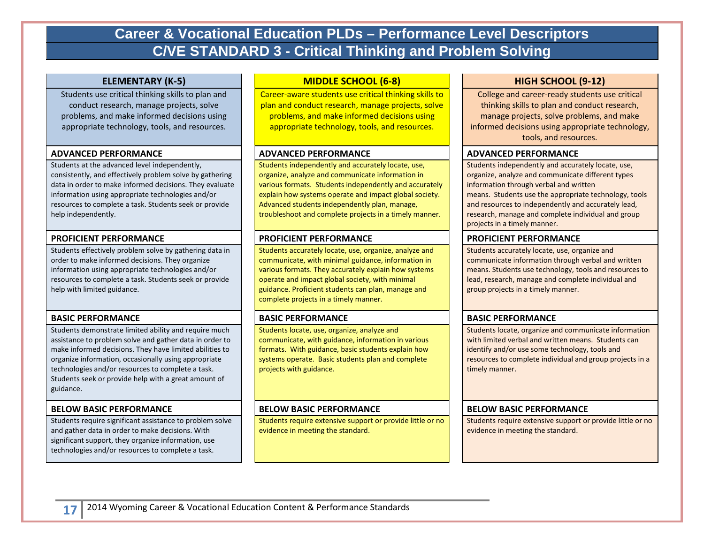# **Career & Vocational Education PLDs – Performance Level Descriptors C/VE STANDARD 3 - Critical Thinking and Problem Solving**

#### **ELEMENTARY (K-5)**

Students use critical thinking skills to plan and conduct research, manage projects, solve problems, and make informed decisions using appropriate technology, tools, and resources.

#### **ADVANCED PERFORMANCE**

Students at the advanced level independently, consistently, and effectively problem solve by gathering data in order to make informed decisions. They evaluate information using appropriate technologies and/or resources to complete a task. Students seek or provide help independently.

#### **PROFICIENT PERFORMANCE**

 Students effectively problem solve by gathering data in order to make informed decisions. They organize information using appropriate technologies and/or resources to complete a task. Students seek or provide help with limited guidance.

#### **BASIC PERFORMANCE**

 assistance to problem solve and gather data in order to Students demonstrate limited ability and require much make informed decisions. They have limited abilities to organize information, occasionally using appropriate technologies and/or resources to complete a task. Students seek or provide help with a great amount of guidance.

#### **BELOW BASIC PERFORMANCE**

Students require significant assistance to problem solve and gather data in order to make decisions. With significant support, they organize information, use technologies and/or resources to complete a task.

#### **MIDDLE SCHOOL (6-8)**

Career-aware students use critical thinking skills to plan and conduct research, manage projects, solve problems, and make informed decisions using appropriate technology, tools, and resources.

#### **ADVANCED PERFORMANCE**

Students independently and accurately locate, use, organize, analyze and communicate information in various formats. Students independently and accurately explain how systems operate and impact global society. Advanced students independently plan, manage, troubleshoot and complete projects in a timely manner.

### **PROFICIENT PERFORMANCE**

Students accurately locate, use, organize, analyze and communicate, with minimal guidance, information in various formats. They accurately explain how systems operate and impact global society, with minimal guidance. Proficient students can plan, manage and complete projects in a timely manner.

#### **BASIC PERFORMANCE**

Students locate, use, organize, analyze and communicate, with guidance, information in various formats. With guidance, basic students explain how systems operate. Basic students plan and complete projects with guidance.

#### **BELOW BASIC PERFORMANCE**

Students require extensive support or provide little or no evidence in meeting the standard.

### **HIGH SCHOOL (9-12)**

 College and career-ready students use critical thinking skills to plan and conduct research, manage projects, solve problems, and make informed decisions using appropriate technology, tools, and resources.

#### **ADVANCED PERFORMANCE**

 means. Students use the appropriate technology, tools Students independently and accurately locate, use, organize, analyze and communicate different types information through verbal and written and resources to independently and accurately lead, research, manage and complete individual and group projects in a timely manner.

#### **PROFICIENT PERFORMANCE**

Students accurately locate, use, organize and communicate information through verbal and written means. Students use technology, tools and resources to lead, research, manage and complete individual and group projects in a timely manner.

#### **BASIC PERFORMANCE**

Students locate, organize and communicate information with limited verbal and written means. Students can identify and/or use some technology, tools and resources to complete individual and group projects in a timely manner.

#### **BELOW BASIC PERFORMANCE**

Students require extensive support or provide little or no evidence in meeting the standard.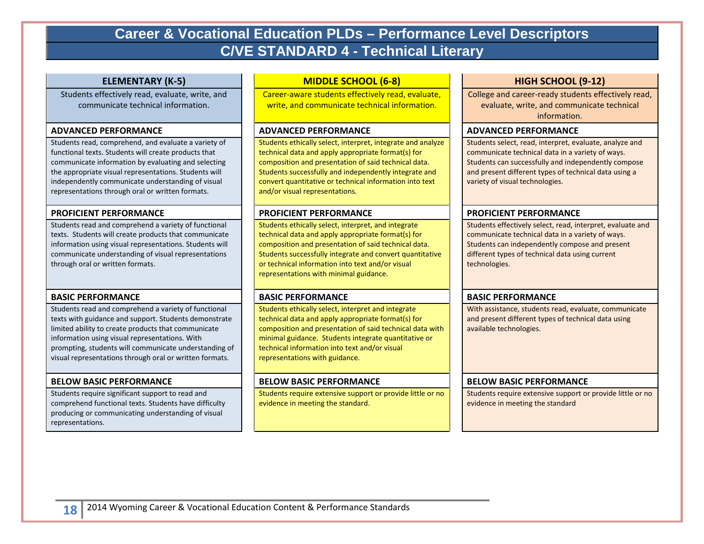# **Career & Vocational Education PLDs – Performance Level Descriptors C/VE STANDARD 4 - Technical Literary**

#### **ELEMENTARY (K-5)**

Students effectively read, evaluate, write, and communicate technical information.

#### **ADVANCED PERFORMANCE**

Students read, comprehend, and evaluate a variety of functional texts. Students will create products that communicate information by evaluating and selecting the appropriate visual representations. Students will independently communicate understanding of visual representations through oral or written formats.

#### **PROFICIENT PERFORMANCE**

 texts. Students will create products that communicate Students read and comprehend a variety of functional information using visual representations. Students will communicate understanding of visual representations through oral or written formats.

#### **BASIC PERFORMANCE**

Students read and comprehend a variety of functional texts with guidance and support. Students demonstrate limited ability to create products that communicate information using visual representations. With prompting, students will communicate understanding of visual representations through oral or written formats.

#### **BELOW BASIC PERFORMANCE**

 comprehend functional texts. Students have difficulty Students require significant support to read and producing or communicating understanding of visual representations.

#### **MIDDLE SCHOOL (6-8)**

Career-aware students effectively read, evaluate, write, and communicate technical information.

#### **ADVANCED PERFORMANCE**

composition and presentation of said technical data. Students ethically select, interpret, integrate and analyze technical data and apply appropriate format(s) for Students successfully and independently integrate and convert quantitative or technical information into text and/or visual representations.

### **PROFICIENT PERFORMANCE**

Students ethically select, interpret, and integrate technical data and apply appropriate format(s) for composition and presentation of said technical data. Students successfully integrate and convert quantitative or technical information into text and/or visual representations with minimal guidance.

### **BASIC PERFORMANCE**

 minimal guidance. Students integrate quantitative or Students ethically select, interpret and integrate technical data and apply appropriate format(s) for composition and presentation of said technical data with technical information into text and/or visual representations with guidance.

### **BELOW BASIC PERFORMANCE**

Students require extensive support or provide little or no evidence in meeting the standard.

### **HIGH SCHOOL (9-12)**

College and career-ready students effectively read, evaluate, write, and communicate technical information.

#### **ADVANCED PERFORMANCE**

 and present different types of technical data using a Students select, read, interpret, evaluate, analyze and communicate technical data in a variety of ways. Students can successfully and independently compose variety of visual technologies.

#### **PROFICIENT PERFORMANCE**

 Students effectively select, read, interpret, evaluate and different types of technical data using current communicate technical data in a variety of ways. Students can independently compose and present technologies.

#### **BASIC PERFORMANCE**

 and present different types of technical data using With assistance, students read, evaluate, communicate available technologies.

#### **BELOW BASIC PERFORMANCE**

Students require extensive support or provide little or no evidence in meeting the standard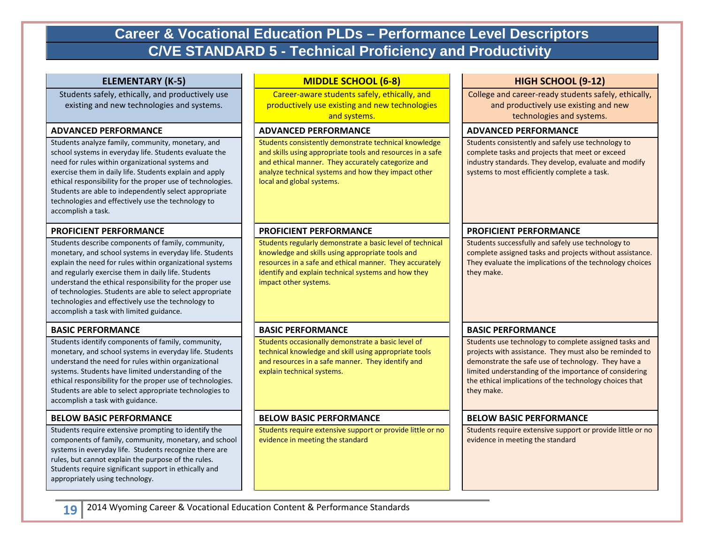# **Career & Vocational Education PLDs – Performance Level Descriptors C/VE STANDARD 5 - Technical Proficiency and Productivity**

#### **ELEMENTARY (K-5)**

Students safely, ethically, and productively use existing and new technologies and systems.

#### **ADVANCED PERFORMANCE**

Students analyze family, community, monetary, and school systems in everyday life. Students evaluate the need for rules within organizational systems and exercise them in daily life. Students explain and apply ethical responsibility for the proper use of technologies. Students are able to independently select appropriate technologies and effectively use the technology to accomplish a task.

#### **PROFICIENT PERFORMANCE**

Students describe components of family, community, monetary, and school systems in everyday life. Students explain the need for rules within organizational systems and regularly exercise them in daily life. Students understand the ethical responsibility for the proper use of technologies. Students are able to select appropriate technologies and effectively use the technology to accomplish a task with limited guidance.

#### **BASIC PERFORMANCE**

Students identify components of family, community, monetary, and school systems in everyday life. Students understand the need for rules within organizational systems. Students have limited understanding of the ethical responsibility for the proper use of technologies. Students are able to select appropriate technologies to accomplish a task with guidance.

#### **BELOW BASIC PERFORMANCE**

 systems in everyday life. Students recognize there are rules, but cannot explain the purpose of the rules. Students require extensive prompting to identify the components of family, community, monetary, and school Students require significant support in ethically and appropriately using technology.

#### **MIDDLE SCHOOL (6-8)**

Career-aware students safely, ethically, and productively use existing and new technologies and systems.

#### **ADVANCED PERFORMANCE**

Students consistently demonstrate technical knowledge and skills using appropriate tools and resources in a safe and ethical manner. They accurately categorize and analyze technical systems and how they impact other local and global systems.

#### **PROFICIENT PERFORMANCE**

Students regularly demonstrate a basic level of technical knowledge and skills using appropriate tools and resources in a safe and ethical manner. They accurately identify and explain technical systems and how they impact other systems.

#### **BASIC PERFORMANCE**

 and resources in a safe manner. They identify and Students occasionally demonstrate a basic level of technical knowledge and skill using appropriate tools explain technical systems.

#### **BELOW BASIC PERFORMANCE**

Students require extensive support or provide little or no evidence in meeting the standard

#### **HIGH SCHOOL (9-12)**

College and career-ready students safely, ethically, and productively use existing and new technologies and systems.

#### **ADVANCED PERFORMANCE**

Students consistently and safely use technology to complete tasks and projects that meet or exceed industry standards. They develop, evaluate and modify systems to most efficiently complete a task.

#### **PROFICIENT PERFORMANCE**

complete assigned tasks and projects without assistance. Students successfully and safely use technology to They evaluate the implications of the technology choices they make.

#### **BASIC PERFORMANCE**

Students use technology to complete assigned tasks and projects with assistance. They must also be reminded to demonstrate the safe use of technology. They have a limited understanding of the importance of considering the ethical implications of the technology choices that they make.

#### **BELOW BASIC PERFORMANCE**

Students require extensive support or provide little or no evidence in meeting the standard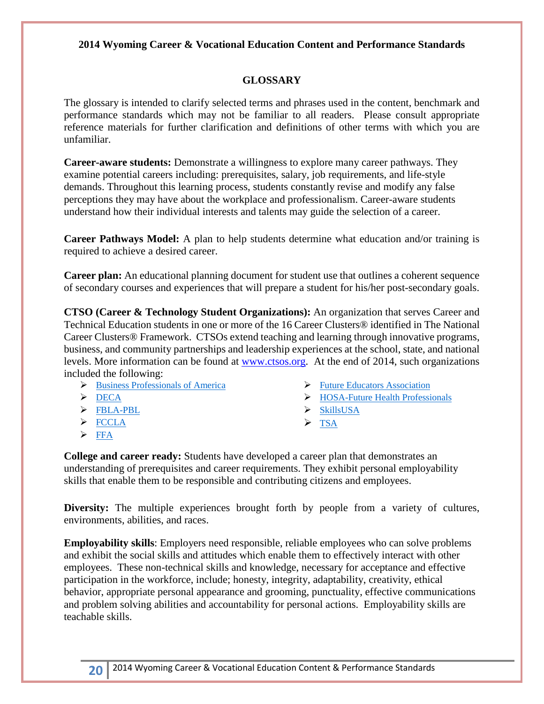### **2014 Wyoming Career & Vocational Education Content and Performance Standards**

## **GLOSSARY**

 The glossary is intended to clarify selected terms and phrases used in the content, benchmark and reference materials for further clarification and definitions of other terms with which you are performance standards which may not be familiar to all readers. Please consult appropriate unfamiliar.

**Career-aware students:** Demonstrate a willingness to explore many career pathways. They examine potential careers including: prerequisites, salary, job requirements, and life-style demands. Throughout this learning process, students constantly revise and modify any false perceptions they may have about the workplace and professionalism. Career-aware students understand how their individual interests and talents may guide the selection of a career.

 required to achieve a desired career. **Career Pathways Model:** A plan to help students determine what education and/or training is

**Career plan:** An educational planning document for student use that outlines a coherent sequence of secondary courses and experiences that will prepare a student for his/her post-secondary goals.

 **CTSO (Career & Technology Student Organizations):** An organization that serves Career and Career Clusters® Framework. CTSOs extend teaching and learning through innovative programs, included the following: Technical Education students in one or more of the 16 Career Clusters® identified in The National business, and community partnerships and leadership experiences at the school, state, and national levels. More information can be found at [www.ctsos.org.](http://www.ctsos.org/) At the end of 2014, such organizations

- **Business Professionals of America** <br> **Future Educators Association**
- 
- > [FBLA-PBL](http://www.ctsos.org/about-us/fbla/) > SkillsUSA
- $\triangleright$  FCCLA
- $\triangleright$  FFA
- 
- > [DECA](http://www.ctsos.org/about-us/deca/) > DECA > HOSA-Future Health Professionals
	-
	- $\triangleright$  TSA

**College and career ready:** Students have developed a career plan that demonstrates an understanding of prerequisites and career requirements. They exhibit personal employability skills that enable them to be responsible and contributing citizens and employees.

**Diversity:** The multiple experiences brought forth by people from a variety of cultures, environments, abilities, and races.

 employees. These non-technical skills and knowledge, necessary for acceptance and effective and problem solving abilities and accountability for personal actions. Employability skills are teachable skills. **Employability skills**: Employers need responsible, reliable employees who can solve problems and exhibit the social skills and attitudes which enable them to effectively interact with other participation in the workforce, include; honesty, integrity, adaptability, creativity, ethical behavior, appropriate personal appearance and grooming, punctuality, effective communications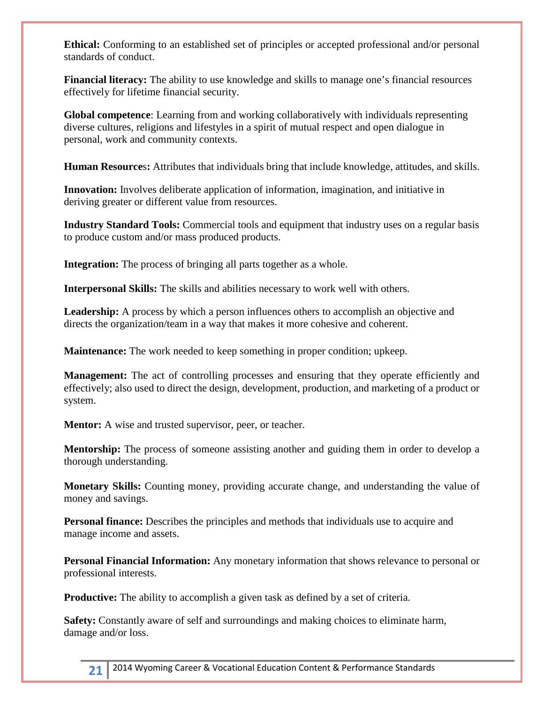**Ethical:** Conforming to an established set of principles or accepted professional and/or personal standards of conduct.

**Financial literacy:** The ability to use knowledge and skills to manage one's financial resources effectively for lifetime financial security.

**Global competence**: Learning from and working collaboratively with individuals representing diverse cultures, religions and lifestyles in a spirit of mutual respect and open dialogue in personal, work and community contexts.

**Human Resource**s**:** Attributes that individuals bring that include knowledge, attitudes, and skills.

**Innovation:** Involves deliberate application of information, imagination, and initiative in deriving greater or different value from resources.

 to produce custom and/or mass produced products. **Industry Standard Tools:** Commercial tools and equipment that industry uses on a regular basis

**Integration:** The process of bringing all parts together as a whole.

**Interpersonal Skills:** The skills and abilities necessary to work well with others.

**Leadership:** A process by which a person influences others to accomplish an objective and directs the organization/team in a way that makes it more cohesive and coherent.

**Maintenance:** The work needed to keep something in proper condition; upkeep.

 **Management:** The act of controlling processes and ensuring that they operate efficiently and effectively; also used to direct the design, development, production, and marketing of a product or system.

**Mentor:** A wise and trusted supervisor, peer, or teacher.

**Mentorship:** The process of someone assisting another and guiding them in order to develop a thorough understanding.

 money and savings. **Monetary Skills:** Counting money, providing accurate change, and understanding the value of

**Personal finance:** Describes the principles and methods that individuals use to acquire and manage income and assets.

**Personal Financial Information:** Any monetary information that shows relevance to personal or professional interests.

**Productive:** The ability to accomplish a given task as defined by a set of criteria.

 **Safety:** Constantly aware of self and surroundings and making choices to eliminate harm, damage and/or loss.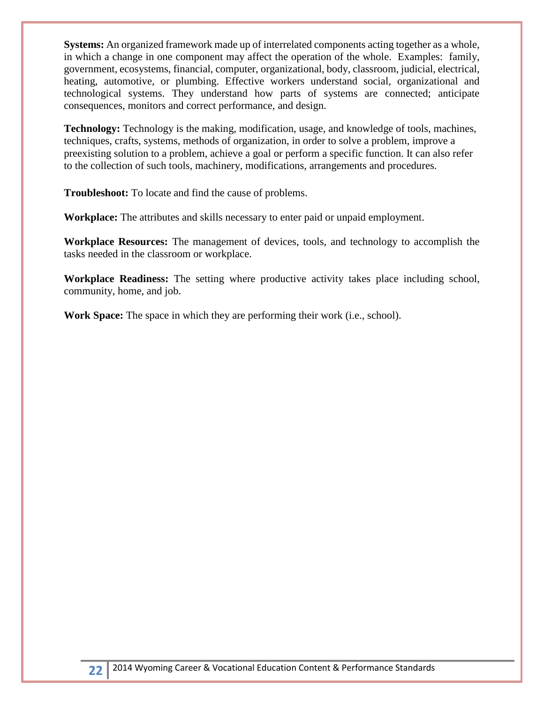**Systems:** An organized framework made up of interrelated components acting together as a whole, in which a change in one component may affect the operation of the whole. Examples: family, government, ecosystems, financial, computer, organizational, body, classroom, judicial, electrical, heating, automotive, or plumbing. Effective workers understand social, organizational and technological systems. They understand how parts of systems are connected; anticipate consequences, monitors and correct performance, and design.

 preexisting solution to a problem, achieve a goal or perform a specific function. It can also refer **Technology:** Technology is the making, modification, usage, and knowledge of tools, machines, techniques, crafts, systems, methods of organization, in order to solve a problem, improve a to the collection of such tools, machinery, modifications, arrangements and procedures.

**Troubleshoot:** To locate and find the cause of problems.

**Workplace:** The attributes and skills necessary to enter paid or unpaid employment.

**Workplace Resources:** The management of devices, tools, and technology to accomplish the tasks needed in the classroom or workplace.

**Workplace Readiness:** The setting where productive activity takes place including school, community, home, and job.

**Work Space:** The space in which they are performing their work (i.e., school).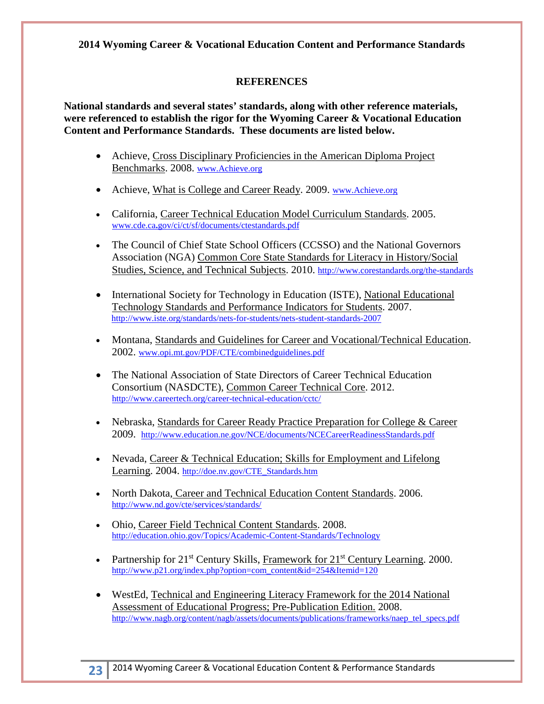**2014 Wyoming Career & Vocational Education Content and Performance Standards** 

## **REFERENCES**

 **Content and Performance Standards. These documents are listed below. National standards and several states' standards, along with other reference materials, were referenced to establish the rigor for the Wyoming Career & Vocational Education** 

- Achieve, Cross Disciplinary Proficiencies in the American Diploma Project Benchmarks. 2008. www.Achieve.org
- Achieve, What is College and Career Ready. 2009. www.Achieve.org
- California, Career Technical Education Model Curriculum Standards. 2005. www.cde.ca**.**gov/ci/ct/sf/documents/ctestandards.pdf
- The Council of Chief State School Officers (CCSSO) and the National Governors Association (NGA) Common Core State Standards for Literacy in History/Social Studies, Science, and Technical Subjects. 2010.<http://www.corestandards.org/the-standards>
- International Society for Technology in Education (ISTE), National Educational Technology Standards and Performance Indicators for Students. 2007. <http://www.iste.org/standards/nets-for-students/nets-student-standards-2007>
- Montana, Standards and Guidelines for Career and Vocational/Technical Education. 2002. www.opi.mt.gov/PDF/CTE/combinedguidelines.pdf
- The National Association of State Directors of Career Technical Education Consortium (NASDCTE), Common Career Technical Core. 2012. <http://www.careertech.org/career-technical-education/cctc/>
- 2009. http://www.education.ne.gov/NCE/documents/NCECareerReadinessStandards.pdf • Nebraska, Standards for Career Ready Practice Preparation for College & Career
- Nevada, Career & Technical Education; Skills for Employment and Lifelong Learning. 2004. [http://doe.nv.gov/CTE\\_Standards.htm](http://doe.nv.gov/CTE_Standards.htm)
- North Dakota, Career and Technical Education Content Standards. 2006. <http://www.nd.gov/cte/services/standards/>
- Ohio, Career Field Technical Content Standards. 2008. <http://education.ohio.gov/Topics/Academic-Content-Standards/Technology>
- Partnership for  $21<sup>st</sup>$  Century Skills, Framework for  $21<sup>st</sup>$  Century Learning. 2000. [http://www.p21.org/index.php?option=com\\_content&id=254&Itemid=120](http://www.p21.org/index.php?option=com_content&id=254&Itemid=120)
- Assessment of Educational Progress; Pre-Publication Edition. 2008. • WestEd, Technical and Engineering Literacy Framework for the 2014 National [http://www.nagb.org/content/nagb/assets/documents/publications/frameworks/naep\\_tel\\_specs.pdf](http://www.nagb.org/content/nagb/assets/documents/publications/frameworks/naep_tel_specs.pdf)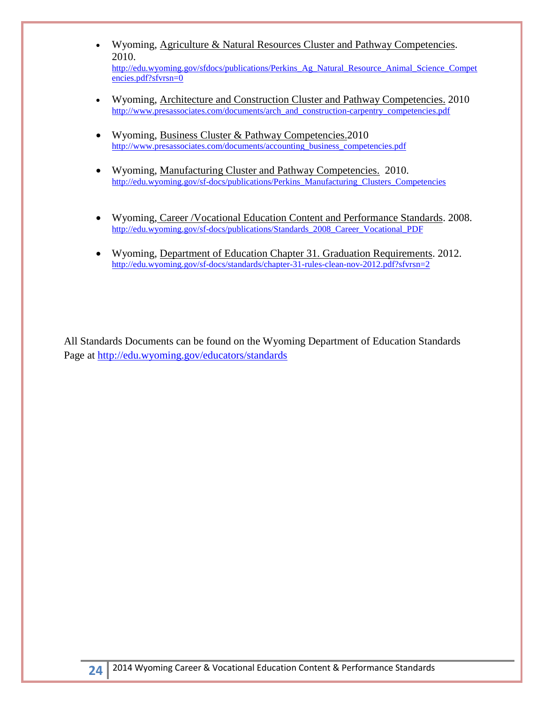- Wyoming, Agriculture & Natural Resources Cluster and Pathway Competencies. 2010. http://edu.wyoming.gov/sfdocs/publications/Perkins Ag\_Natural\_Resource\_Animal\_Science\_Compet [encies.pdf?sfvrsn=0](http://edu.wyoming.gov/sfdocs/publications/Perkins_Ag_Natural_Resource_Animal_Science_Competencies.pdf?sfvrsn=0)
- Wyoming, **Architecture and Construction Cluster and Pathway Competencies.** 2010 [http://www.presassociates.com/documents/arch\\_and\\_construction-carpentry\\_competencies.pdf](http://www.presassociates.com/documents/arch_and_construction-carpentry_competencies.pdf)
- Wyoming, Business Cluster & Pathway Competencies. 2010 [http://www.presassociates.com/documents/accounting\\_business\\_competencies.pdf](http://www.presassociates.com/documents/accounting_business_competencies.pdf)
- Wyoming, Manufacturing Cluster and Pathway Competencies. 2010. http://edu.wyoming.gov/sf-docs/publications/Perkins\_Manufacturing\_Clusters\_Competencies
- Wyoming, Career /Vocational Education Content and Performance Standards. 2008. http://edu.wyoming.gov/sf-docs/publications/Standards\_2008\_Career\_Vocational\_PDF
- Wyoming, Department of Education Chapter 31. Graduation Requirements. 2012. <http://edu.wyoming.gov/sf-docs/standards/chapter-31-rules-clean-nov-2012.pdf?sfvrsn=2>

Page at http://edu.wyoming.gov/educators/standards All Standards Documents can be found on the Wyoming Department of Education Standards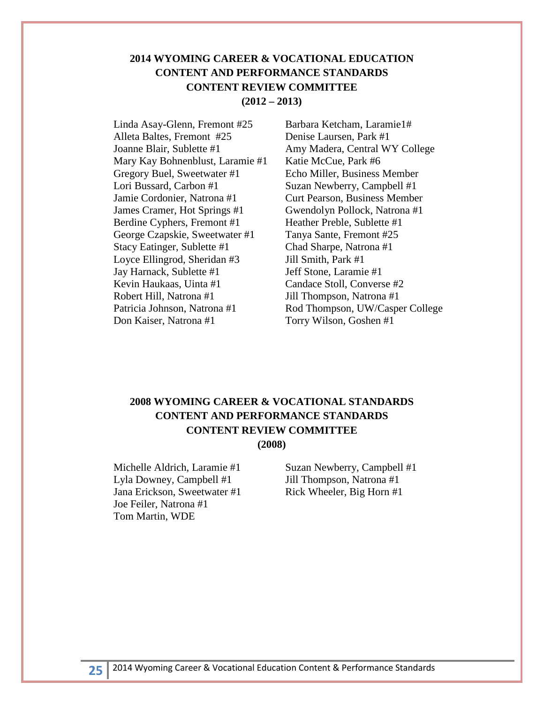## **(2012 – 2013) 2014 WYOMING CAREER & VOCATIONAL EDUCATION CONTENT AND PERFORMANCE STANDARDS CONTENT REVIEW COMMITTEE**

 Stacy Eatinger, Sublette #1 Linda Asay-Glenn, Fremont #25 Alleta Baltes, Fremont #25 Joanne Blair, Sublette #1 Mary Kay Bohnenblust, Laramie #1 Gregory Buel, Sweetwater #1 Lori Bussard, Carbon #1 Jamie Cordonier, Natrona #1 James Cramer, Hot Springs #1 Berdine Cyphers, Fremont #1 George Czapskie, Sweetwater #1 Loyce Ellingrod, Sheridan #3 Jay Harnack, Sublette #1 Kevin Haukaas, Uinta #1 Robert Hill, Natrona #1 Patricia Johnson, Natrona #1 Don Kaiser, Natrona #1

 Candace Stoll, Converse #2 Barbara Ketcham, Laramie1# Denise Laursen, Park #1 Amy Madera, Central WY College Katie McCue, Park #6 Echo Miller, Business Member Suzan Newberry, Campbell #1 Curt Pearson, Business Member Gwendolyn Pollock, Natrona #1 Heather Preble, Sublette #1 Tanya Sante, Fremont #25 Chad Sharpe, Natrona #1 Jill Smith, Park #1 Jeff Stone, Laramie #1 Jill Thompson, Natrona #1 Rod Thompson, UW/Casper College Torry Wilson, Goshen #1

## **2008 WYOMING CAREER & VOCATIONAL STANDARDS CONTENT AND PERFORMANCE STANDARDS CONTENT REVIEW COMMITTEE (2008)**

Lyla Downey, Campbell #1 Jill Thompson, Natrona #1 Jana Erickson, Sweetwater #1 Rick Wheeler, Big Horn #1 Joe Feiler, Natrona #1 Tom Martin, WDE

Michelle Aldrich, Laramie #1 Suzan Newberry, Campbell #1